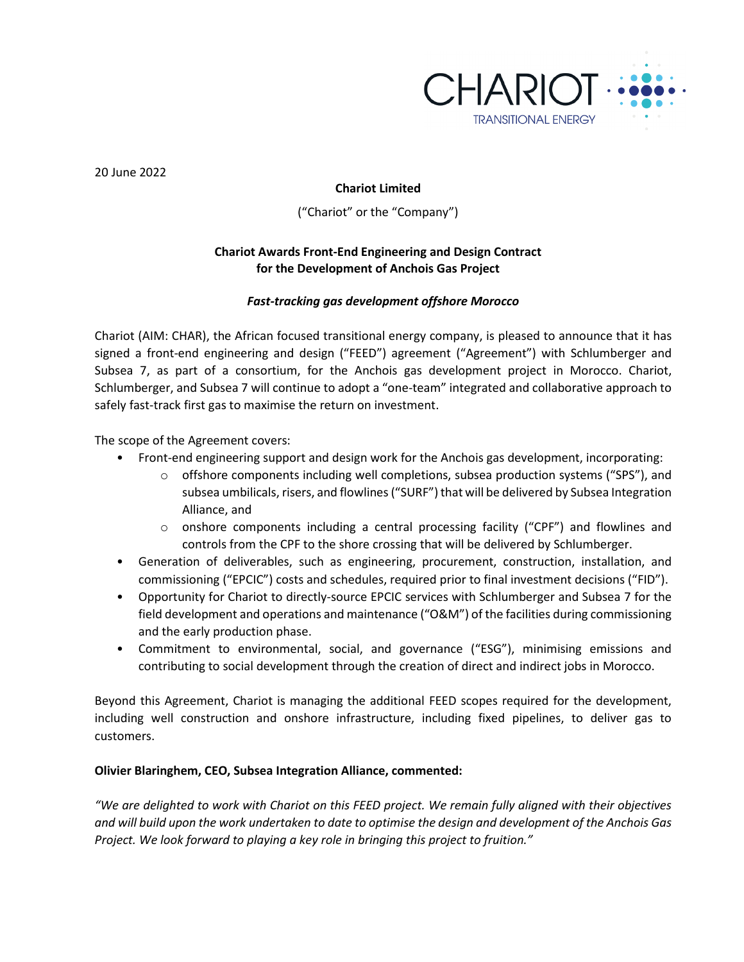

20 June 2022

# **Chariot Limited**

("Chariot" or the "Company")

# **Chariot Awards Front-End Engineering and Design Contract for the Development of Anchois Gas Project**

# *Fast-tracking gas development offshore Morocco*

Chariot (AIM: CHAR), the African focused transitional energy company, is pleased to announce that it has signed a front-end engineering and design ("FEED") agreement ("Agreement") with Schlumberger and Subsea 7, as part of a consortium, for the Anchois gas development project in Morocco. Chariot, Schlumberger, and Subsea 7 will continue to adopt a "one-team" integrated and collaborative approach to safely fast-track first gas to maximise the return on investment.

The scope of the Agreement covers:

- Front-end engineering support and design work for the Anchois gas development, incorporating:
	- o offshore components including well completions, subsea production systems ("SPS"), and subsea umbilicals, risers, and flowlines ("SURF") that will be delivered by Subsea Integration Alliance, and
	- $\circ$  onshore components including a central processing facility ("CPF") and flowlines and controls from the CPF to the shore crossing that will be delivered by Schlumberger.
- Generation of deliverables, such as engineering, procurement, construction, installation, and commissioning ("EPCIC") costs and schedules, required prior to final investment decisions ("FID").
- Opportunity for Chariot to directly-source EPCIC services with Schlumberger and Subsea 7 for the field development and operations and maintenance ("O&M") of the facilities during commissioning and the early production phase.
- Commitment to environmental, social, and governance ("ESG"), minimising emissions and contributing to social development through the creation of direct and indirect jobs in Morocco.

Beyond this Agreement, Chariot is managing the additional FEED scopes required for the development, including well construction and onshore infrastructure, including fixed pipelines, to deliver gas to customers.

### **Olivier Blaringhem, CEO, Subsea Integration Alliance, commented:**

*"We are delighted to work with Chariot on this FEED project. We remain fully aligned with their objectives and will build upon the work undertaken to date to optimise the design and development of the Anchois Gas Project. We look forward to playing a key role in bringing this project to fruition."*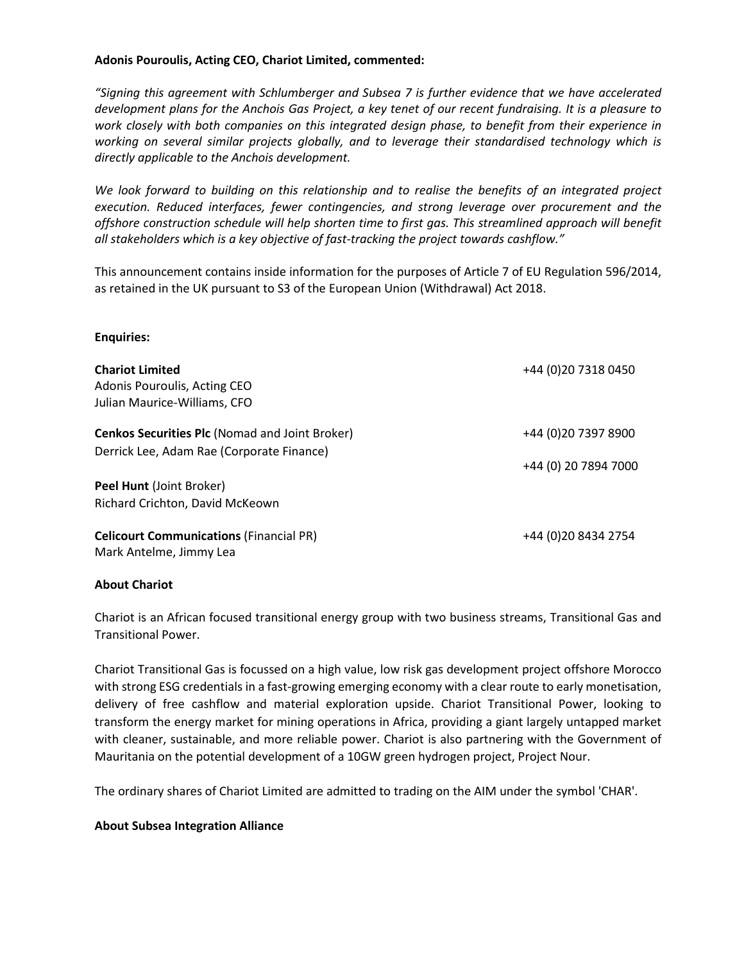### **Adonis Pouroulis, Acting CEO, Chariot Limited, commented:**

*"Signing this agreement with Schlumberger and Subsea 7 is further evidence that we have accelerated development plans for the Anchois Gas Project, a key tenet of our recent fundraising. It is a pleasure to work closely with both companies on this integrated design phase, to benefit from their experience in working on several similar projects globally, and to leverage their standardised technology which is directly applicable to the Anchois development.* 

*We look forward to building on this relationship and to realise the benefits of an integrated project execution. Reduced interfaces, fewer contingencies, and strong leverage over procurement and the offshore construction schedule will help shorten time to first gas. This streamlined approach will benefit all stakeholders which is a key objective of fast-tracking the project towards cashflow."*

This announcement contains inside information for the purposes of Article 7 of EU Regulation 596/2014, as retained in the UK pursuant to S3 of the European Union (Withdrawal) Act 2018.

### **Enquiries:**

| <b>Chariot Limited</b><br>Adonis Pouroulis, Acting CEO<br>Julian Maurice-Williams, CFO             | +44 (0) 20 7318 0450                         |
|----------------------------------------------------------------------------------------------------|----------------------------------------------|
| <b>Cenkos Securities Plc (Nomad and Joint Broker)</b><br>Derrick Lee, Adam Rae (Corporate Finance) | +44 (0) 20 7397 8900<br>+44 (0) 20 7894 7000 |
| Peel Hunt (Joint Broker)                                                                           |                                              |
| Richard Crichton, David McKeown                                                                    |                                              |
| <b>Celicourt Communications (Financial PR)</b><br>Mark Antelme, Jimmy Lea                          | +44 (0) 20 8434 2754                         |

### **About Chariot**

Chariot is an African focused transitional energy group with two business streams, Transitional Gas and Transitional Power.

Chariot Transitional Gas is focussed on a high value, low risk gas development project offshore Morocco with strong ESG credentials in a fast-growing emerging economy with a clear route to early monetisation, delivery of free cashflow and material exploration upside. Chariot Transitional Power, looking to transform the energy market for mining operations in Africa, providing a giant largely untapped market with cleaner, sustainable, and more reliable power. Chariot is also partnering with the Government of Mauritania on the potential development of a 10GW green hydrogen project, Project Nour.

The ordinary shares of Chariot Limited are admitted to trading on the AIM under the symbol 'CHAR'.

### **About Subsea Integration Alliance**